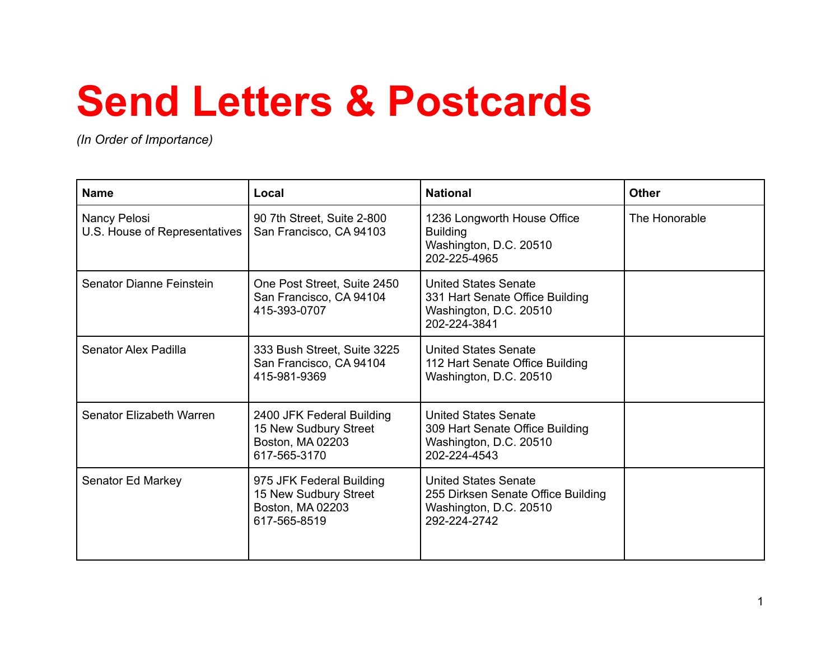# **Send Letters & Postcards**

*(In Order of Importance)*

| <b>Name</b>                                   | Local                                                                                  | <b>National</b>                                                                                             | <b>Other</b>  |
|-----------------------------------------------|----------------------------------------------------------------------------------------|-------------------------------------------------------------------------------------------------------------|---------------|
| Nancy Pelosi<br>U.S. House of Representatives | 90 7th Street, Suite 2-800<br>San Francisco, CA 94103                                  | 1236 Longworth House Office<br><b>Building</b><br>Washington, D.C. 20510<br>202-225-4965                    | The Honorable |
| Senator Dianne Feinstein                      | One Post Street, Suite 2450<br>San Francisco, CA 94104<br>415-393-0707                 | <b>United States Senate</b><br>331 Hart Senate Office Building<br>Washington, D.C. 20510<br>202-224-3841    |               |
| Senator Alex Padilla                          | 333 Bush Street, Suite 3225<br>San Francisco, CA 94104<br>415-981-9369                 | <b>United States Senate</b><br>112 Hart Senate Office Building<br>Washington, D.C. 20510                    |               |
| Senator Elizabeth Warren                      | 2400 JFK Federal Building<br>15 New Sudbury Street<br>Boston, MA 02203<br>617-565-3170 | <b>United States Senate</b><br>309 Hart Senate Office Building<br>Washington, D.C. 20510<br>202-224-4543    |               |
| Senator Ed Markey                             | 975 JFK Federal Building<br>15 New Sudbury Street<br>Boston, MA 02203<br>617-565-8519  | <b>United States Senate</b><br>255 Dirksen Senate Office Building<br>Washington, D.C. 20510<br>292-224-2742 |               |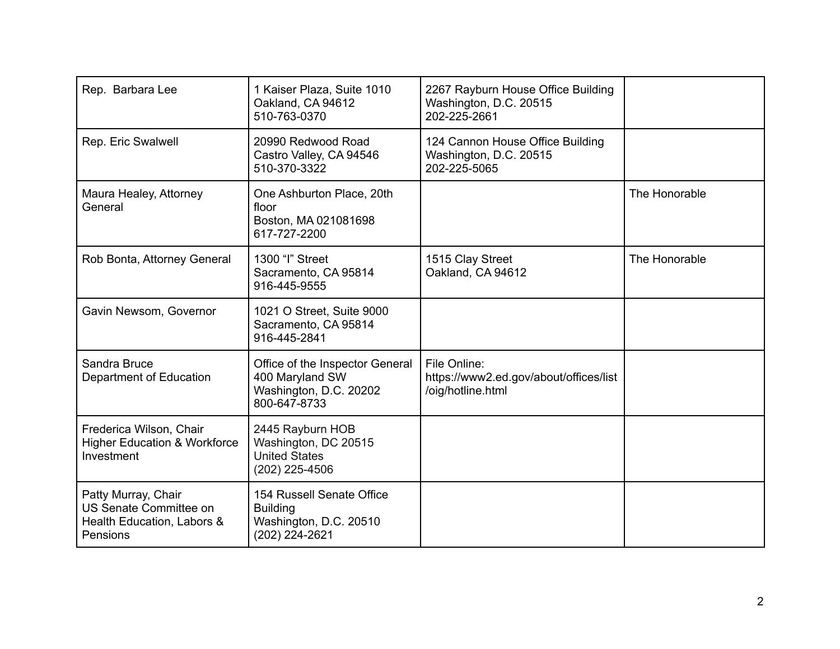| Rep. Barbara Lee                                                                        | 1 Kaiser Plaza, Suite 1010<br>Oakland, CA 94612<br>510-763-0370                              | 2267 Rayburn House Office Building<br>Washington, D.C. 20515<br>202-225-2661 |               |
|-----------------------------------------------------------------------------------------|----------------------------------------------------------------------------------------------|------------------------------------------------------------------------------|---------------|
| Rep. Eric Swalwell                                                                      | 20990 Redwood Road<br>Castro Valley, CA 94546<br>510-370-3322                                | 124 Cannon House Office Building<br>Washington, D.C. 20515<br>202-225-5065   |               |
| Maura Healey, Attorney<br>General                                                       | One Ashburton Place, 20th<br>floor<br>Boston, MA 021081698<br>617-727-2200                   |                                                                              | The Honorable |
| Rob Bonta, Attorney General                                                             | 1300 "I" Street<br>Sacramento, CA 95814<br>916-445-9555                                      | 1515 Clay Street<br>Oakland, CA 94612                                        | The Honorable |
| Gavin Newsom, Governor                                                                  | 1021 O Street, Suite 9000<br>Sacramento, CA 95814<br>916-445-2841                            |                                                                              |               |
| Sandra Bruce<br>Department of Education                                                 | Office of the Inspector General<br>400 Maryland SW<br>Washington, D.C. 20202<br>800-647-8733 | File Online:<br>https://www2.ed.gov/about/offices/list<br>/oig/hotline.html  |               |
| Frederica Wilson, Chair<br><b>Higher Education &amp; Workforce</b><br>Investment        | 2445 Rayburn HOB<br>Washington, DC 20515<br><b>United States</b><br>(202) 225-4506           |                                                                              |               |
| Patty Murray, Chair<br>US Senate Committee on<br>Health Education, Labors &<br>Pensions | 154 Russell Senate Office<br><b>Building</b><br>Washington, D.C. 20510<br>(202) 224-2621     |                                                                              |               |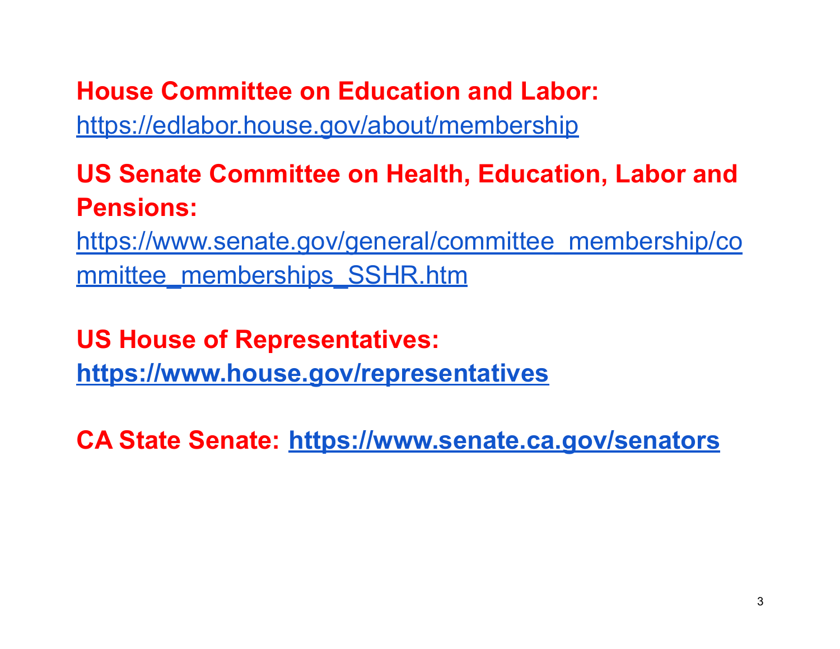**House Committee on Education and Labor:** <https://edlabor.house.gov/about/membership>

### **US Senate Committee on Health, Education, Labor and Pensions:**

[https://www.senate.gov/general/committee\\_membership/co](https://www.senate.gov/general/committee_membership/committee_memberships_SSHR.htm) [mmittee\\_memberships\\_SSHR.htm](https://www.senate.gov/general/committee_membership/committee_memberships_SSHR.htm)

**US House of Representatives: <https://www.house.gov/representatives>**

**CA State Senate: <https://www.senate.ca.gov/senators>**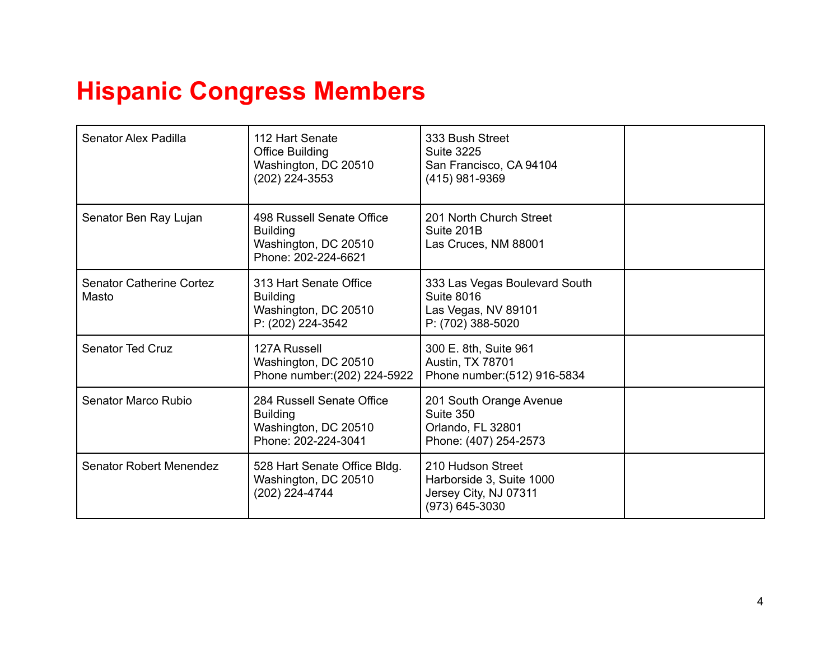#### **Hispanic Congress Members**

| Senator Alex Padilla                     | 112 Hart Senate<br><b>Office Building</b><br>Washington, DC 20510<br>(202) 224-3553         | 333 Bush Street<br><b>Suite 3225</b><br>San Francisco, CA 94104<br>(415) 981-9369              |  |
|------------------------------------------|---------------------------------------------------------------------------------------------|------------------------------------------------------------------------------------------------|--|
| Senator Ben Ray Lujan                    | 498 Russell Senate Office<br><b>Building</b><br>Washington, DC 20510<br>Phone: 202-224-6621 | 201 North Church Street<br>Suite 201B<br>Las Cruces, NM 88001                                  |  |
| <b>Senator Catherine Cortez</b><br>Masto | 313 Hart Senate Office<br><b>Building</b><br>Washington, DC 20510<br>P: (202) 224-3542      | 333 Las Vegas Boulevard South<br><b>Suite 8016</b><br>Las Vegas, NV 89101<br>P: (702) 388-5020 |  |
| <b>Senator Ted Cruz</b>                  | 127A Russell<br>Washington, DC 20510<br>Phone number: (202) 224-5922                        | 300 E. 8th, Suite 961<br>Austin, TX 78701<br>Phone number: (512) 916-5834                      |  |
| Senator Marco Rubio                      | 284 Russell Senate Office<br><b>Building</b><br>Washington, DC 20510<br>Phone: 202-224-3041 | 201 South Orange Avenue<br>Suite 350<br>Orlando, FL 32801<br>Phone: (407) 254-2573             |  |
| <b>Senator Robert Menendez</b>           | 528 Hart Senate Office Bldg.<br>Washington, DC 20510<br>(202) 224-4744                      | 210 Hudson Street<br>Harborside 3, Suite 1000<br>Jersey City, NJ 07311<br>(973) 645-3030       |  |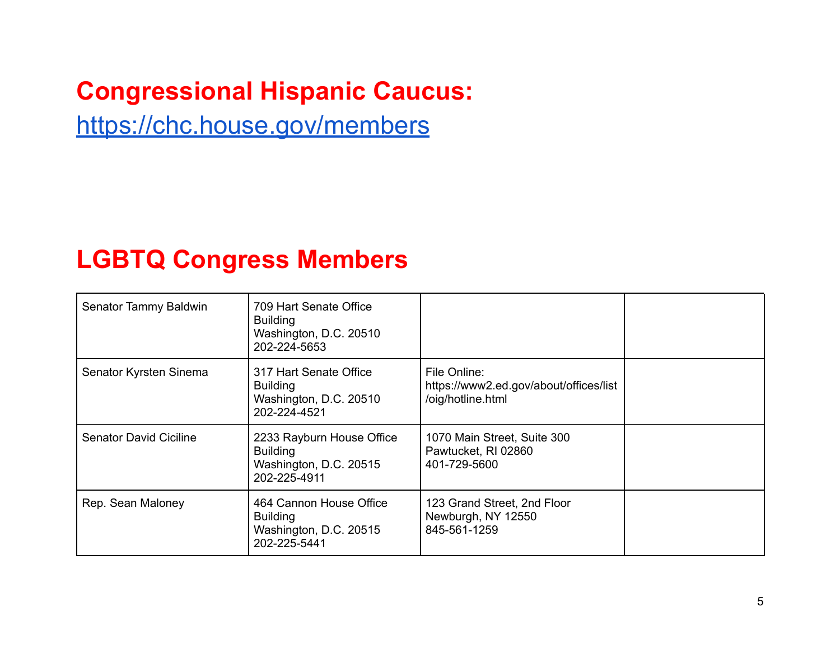#### **Congressional Hispanic Caucus:**

<https://chc.house.gov/members>

#### **LGBTQ Congress Members**

| Senator Tammy Baldwin         | 709 Hart Senate Office<br><b>Building</b><br>Washington, D.C. 20510<br>202-224-5653    |                                                                             |  |
|-------------------------------|----------------------------------------------------------------------------------------|-----------------------------------------------------------------------------|--|
| Senator Kyrsten Sinema        | 317 Hart Senate Office<br><b>Building</b><br>Washington, D.C. 20510<br>202-224-4521    | File Online:<br>https://www2.ed.gov/about/offices/list<br>/oig/hotline.html |  |
| <b>Senator David Ciciline</b> | 2233 Rayburn House Office<br><b>Building</b><br>Washington, D.C. 20515<br>202-225-4911 | 1070 Main Street, Suite 300<br>Pawtucket, RI 02860<br>401-729-5600          |  |
| Rep. Sean Maloney             | 464 Cannon House Office<br><b>Building</b><br>Washington, D.C. 20515<br>202-225-5441   | 123 Grand Street, 2nd Floor<br>Newburgh, NY 12550<br>845-561-1259           |  |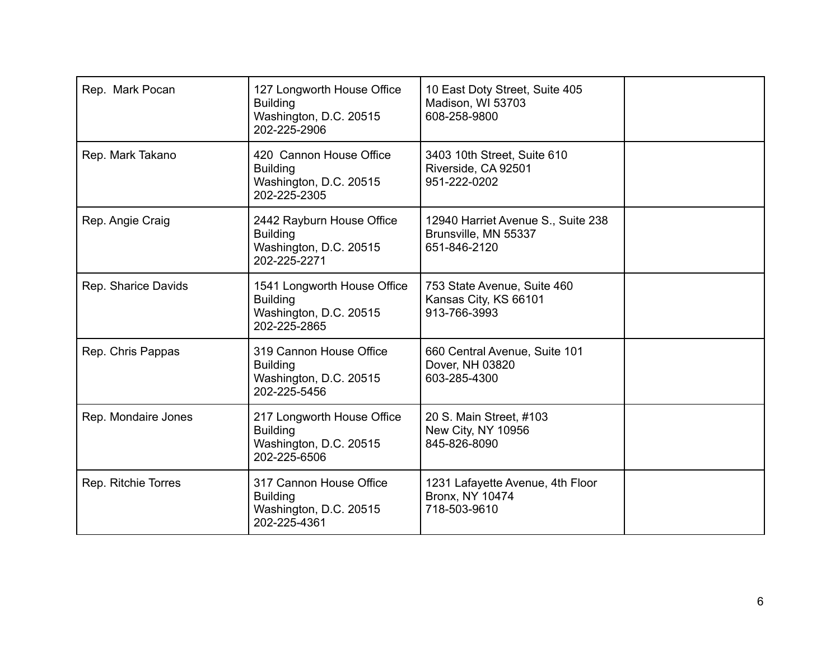| Rep. Mark Pocan     | 127 Longworth House Office<br><b>Building</b><br>Washington, D.C. 20515<br>202-225-2906  | 10 East Doty Street, Suite 405<br>Madison, WI 53703<br>608-258-9800        |  |
|---------------------|------------------------------------------------------------------------------------------|----------------------------------------------------------------------------|--|
| Rep. Mark Takano    | 420 Cannon House Office<br><b>Building</b><br>Washington, D.C. 20515<br>202-225-2305     | 3403 10th Street, Suite 610<br>Riverside, CA 92501<br>951-222-0202         |  |
| Rep. Angie Craig    | 2442 Rayburn House Office<br><b>Building</b><br>Washington, D.C. 20515<br>202-225-2271   | 12940 Harriet Avenue S., Suite 238<br>Brunsville, MN 55337<br>651-846-2120 |  |
| Rep. Sharice Davids | 1541 Longworth House Office<br><b>Building</b><br>Washington, D.C. 20515<br>202-225-2865 | 753 State Avenue, Suite 460<br>Kansas City, KS 66101<br>913-766-3993       |  |
| Rep. Chris Pappas   | 319 Cannon House Office<br><b>Building</b><br>Washington, D.C. 20515<br>202-225-5456     | 660 Central Avenue, Suite 101<br>Dover, NH 03820<br>603-285-4300           |  |
| Rep. Mondaire Jones | 217 Longworth House Office<br><b>Building</b><br>Washington, D.C. 20515<br>202-225-6506  | 20 S. Main Street, #103<br>New City, NY 10956<br>845-826-8090              |  |
| Rep. Ritchie Torres | 317 Cannon House Office<br><b>Building</b><br>Washington, D.C. 20515<br>202-225-4361     | 1231 Lafayette Avenue, 4th Floor<br><b>Bronx, NY 10474</b><br>718-503-9610 |  |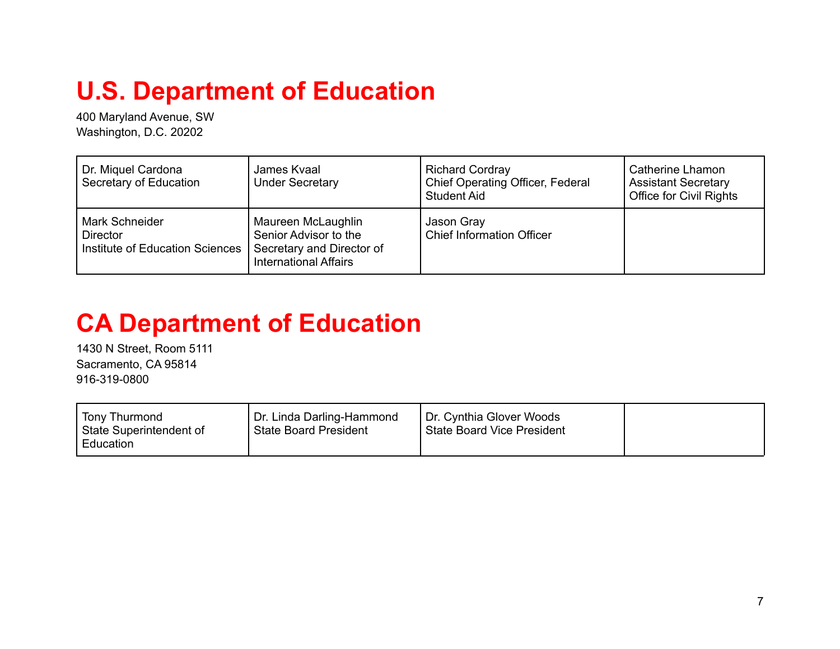## **U.S. Department of Education**

400 Maryland Avenue, SW Washington, D.C. 20202

| Dr. Miquel Cardona<br>Secretary of Education                                | James Kvaal<br><b>Under Secretary</b>                                                                    | <b>Richard Cordray</b><br><b>Chief Operating Officer, Federal</b><br><b>Student Aid</b> | Catherine Lhamon<br><b>Assistant Secretary</b><br><b>Office for Civil Rights</b> |
|-----------------------------------------------------------------------------|----------------------------------------------------------------------------------------------------------|-----------------------------------------------------------------------------------------|----------------------------------------------------------------------------------|
| <b>Mark Schneider</b><br><b>Director</b><br>Institute of Education Sciences | Maureen McLaughlin<br>Senior Advisor to the<br>Secretary and Director of<br><b>International Affairs</b> | Jason Gray<br><b>Chief Information Officer</b>                                          |                                                                                  |

#### **CA Department of Education**

1430 N Street, Room 5111 Sacramento, CA 95814 916-319-0800

| Tony Thurmond<br>State Superintendent of<br>Education | Dr. Linda Darling-Hammond<br>State Board President | Dr. Cynthia Glover Woods<br><b>State Board Vice President</b> |  |
|-------------------------------------------------------|----------------------------------------------------|---------------------------------------------------------------|--|
|-------------------------------------------------------|----------------------------------------------------|---------------------------------------------------------------|--|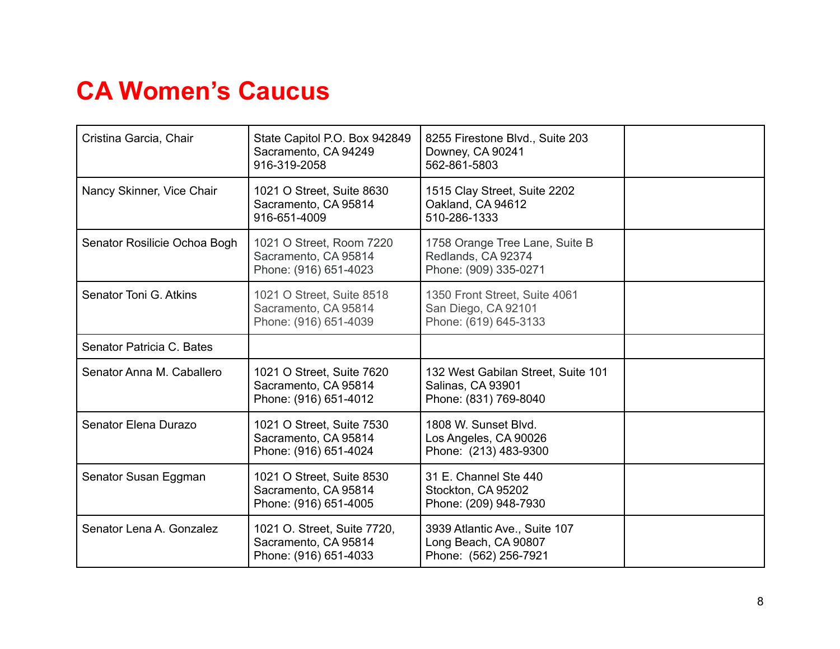#### **CA Women's Caucus**

| Cristina Garcia, Chair       | State Capitol P.O. Box 942849<br>Sacramento, CA 94249<br>916-319-2058        | 8255 Firestone Blvd., Suite 203<br>Downey, CA 90241<br>562-861-5803                     |  |
|------------------------------|------------------------------------------------------------------------------|-----------------------------------------------------------------------------------------|--|
| Nancy Skinner, Vice Chair    | 1021 O Street, Suite 8630<br>Sacramento, CA 95814<br>916-651-4009            | 1515 Clay Street, Suite 2202<br>Oakland, CA 94612<br>510-286-1333                       |  |
| Senator Rosilicie Ochoa Bogh | 1021 O Street, Room 7220<br>Sacramento, CA 95814<br>Phone: (916) 651-4023    | 1758 Orange Tree Lane, Suite B<br>Redlands, CA 92374<br>Phone: (909) 335-0271           |  |
| Senator Toni G. Atkins       | 1021 O Street, Suite 8518<br>Sacramento, CA 95814<br>Phone: (916) 651-4039   | 1350 Front Street, Suite 4061<br>San Diego, CA 92101<br>Phone: (619) 645-3133           |  |
| Senator Patricia C. Bates    |                                                                              |                                                                                         |  |
| Senator Anna M. Caballero    | 1021 O Street, Suite 7620<br>Sacramento, CA 95814<br>Phone: (916) 651-4012   | 132 West Gabilan Street, Suite 101<br><b>Salinas, CA 93901</b><br>Phone: (831) 769-8040 |  |
| Senator Elena Durazo         | 1021 O Street, Suite 7530<br>Sacramento, CA 95814<br>Phone: (916) 651-4024   | 1808 W. Sunset Blvd.<br>Los Angeles, CA 90026<br>Phone: (213) 483-9300                  |  |
| Senator Susan Eggman         | 1021 O Street, Suite 8530<br>Sacramento, CA 95814<br>Phone: (916) 651-4005   | 31 E. Channel Ste 440<br>Stockton, CA 95202<br>Phone: (209) 948-7930                    |  |
| Senator Lena A. Gonzalez     | 1021 O. Street, Suite 7720,<br>Sacramento, CA 95814<br>Phone: (916) 651-4033 | 3939 Atlantic Ave., Suite 107<br>Long Beach, CA 90807<br>Phone: (562) 256-7921          |  |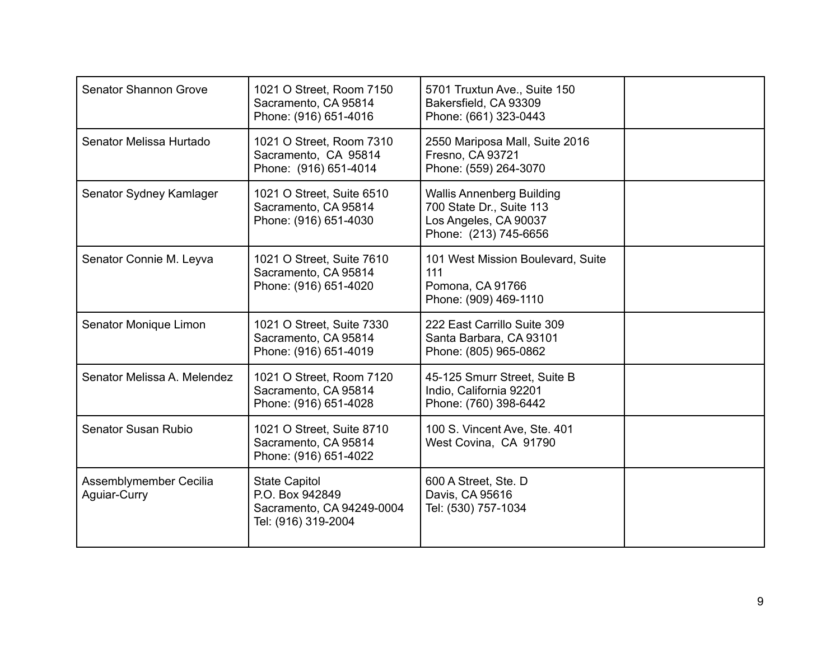| <b>Senator Shannon Grove</b>           | 1021 O Street, Room 7150<br>Sacramento, CA 95814<br>Phone: (916) 651-4016                   | 5701 Truxtun Ave., Suite 150<br>Bakersfield, CA 93309<br>Phone: (661) 323-0443                                 |  |
|----------------------------------------|---------------------------------------------------------------------------------------------|----------------------------------------------------------------------------------------------------------------|--|
| Senator Melissa Hurtado                | 1021 O Street, Room 7310<br>Sacramento, CA 95814<br>Phone: (916) 651-4014                   | 2550 Mariposa Mall, Suite 2016<br>Fresno, CA 93721<br>Phone: (559) 264-3070                                    |  |
| Senator Sydney Kamlager                | 1021 O Street, Suite 6510<br>Sacramento, CA 95814<br>Phone: (916) 651-4030                  | <b>Wallis Annenberg Building</b><br>700 State Dr., Suite 113<br>Los Angeles, CA 90037<br>Phone: (213) 745-6656 |  |
| Senator Connie M. Leyva                | 1021 O Street, Suite 7610<br>Sacramento, CA 95814<br>Phone: (916) 651-4020                  | 101 West Mission Boulevard, Suite<br>111<br>Pomona, CA 91766<br>Phone: (909) 469-1110                          |  |
| Senator Monique Limon                  | 1021 O Street, Suite 7330<br>Sacramento, CA 95814<br>Phone: (916) 651-4019                  | 222 East Carrillo Suite 309<br>Santa Barbara, CA 93101<br>Phone: (805) 965-0862                                |  |
| Senator Melissa A. Melendez            | 1021 O Street, Room 7120<br>Sacramento, CA 95814<br>Phone: (916) 651-4028                   | 45-125 Smurr Street, Suite B<br>Indio, California 92201<br>Phone: (760) 398-6442                               |  |
| Senator Susan Rubio                    | 1021 O Street, Suite 8710<br>Sacramento, CA 95814<br>Phone: (916) 651-4022                  | 100 S. Vincent Ave, Ste. 401<br>West Covina, CA 91790                                                          |  |
| Assemblymember Cecilia<br>Aguiar-Curry | <b>State Capitol</b><br>P.O. Box 942849<br>Sacramento, CA 94249-0004<br>Tel: (916) 319-2004 | 600 A Street, Ste. D<br>Davis, CA 95616<br>Tel: (530) 757-1034                                                 |  |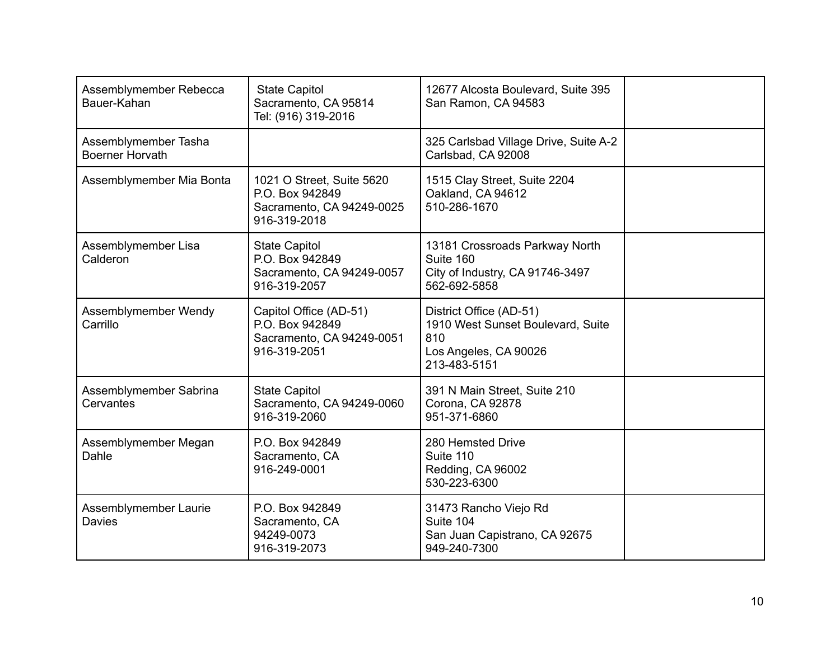| Assemblymember Rebecca<br>Bauer-Kahan          | <b>State Capitol</b><br>Sacramento, CA 95814<br>Tel: (916) 319-2016                       | 12677 Alcosta Boulevard, Suite 395<br>San Ramon, CA 94583                                                    |  |
|------------------------------------------------|-------------------------------------------------------------------------------------------|--------------------------------------------------------------------------------------------------------------|--|
| Assemblymember Tasha<br><b>Boerner Horvath</b> |                                                                                           | 325 Carlsbad Village Drive, Suite A-2<br>Carlsbad, CA 92008                                                  |  |
| Assemblymember Mia Bonta                       | 1021 O Street, Suite 5620<br>P.O. Box 942849<br>Sacramento, CA 94249-0025<br>916-319-2018 | 1515 Clay Street, Suite 2204<br>Oakland, CA 94612<br>510-286-1670                                            |  |
| Assemblymember Lisa<br>Calderon                | <b>State Capitol</b><br>P.O. Box 942849<br>Sacramento, CA 94249-0057<br>916-319-2057      | 13181 Crossroads Parkway North<br>Suite 160<br>City of Industry, CA 91746-3497<br>562-692-5858               |  |
| Assemblymember Wendy<br>Carrillo               | Capitol Office (AD-51)<br>P.O. Box 942849<br>Sacramento, CA 94249-0051<br>916-319-2051    | District Office (AD-51)<br>1910 West Sunset Boulevard, Suite<br>810<br>Los Angeles, CA 90026<br>213-483-5151 |  |
| Assemblymember Sabrina<br>Cervantes            | <b>State Capitol</b><br>Sacramento, CA 94249-0060<br>916-319-2060                         | 391 N Main Street, Suite 210<br>Corona, CA 92878<br>951-371-6860                                             |  |
| Assemblymember Megan<br>Dahle                  | P.O. Box 942849<br>Sacramento, CA<br>916-249-0001                                         | 280 Hemsted Drive<br>Suite 110<br>Redding, CA 96002<br>530-223-6300                                          |  |
| Assemblymember Laurie<br><b>Davies</b>         | P.O. Box 942849<br>Sacramento, CA<br>94249-0073<br>916-319-2073                           | 31473 Rancho Viejo Rd<br>Suite 104<br>San Juan Capistrano, CA 92675<br>949-240-7300                          |  |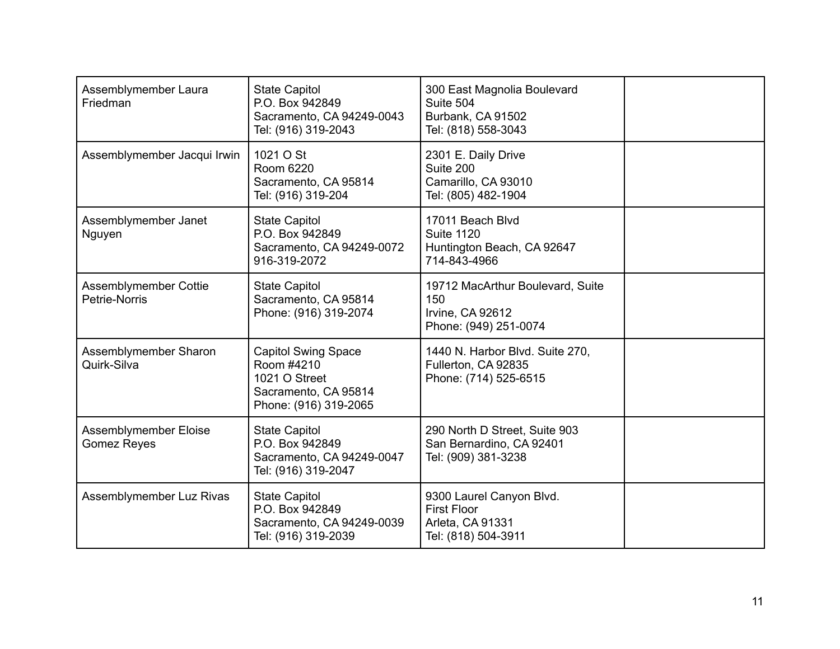| Assemblymember Laura<br>Friedman            | <b>State Capitol</b><br>P.O. Box 942849<br>Sacramento, CA 94249-0043<br>Tel: (916) 319-2043                | 300 East Magnolia Boulevard<br>Suite 504<br>Burbank, CA 91502<br>Tel: (818) 558-3043      |  |
|---------------------------------------------|------------------------------------------------------------------------------------------------------------|-------------------------------------------------------------------------------------------|--|
| Assemblymember Jacqui Irwin                 | 1021 O St<br>Room 6220<br>Sacramento, CA 95814<br>Tel: (916) 319-204                                       | 2301 E. Daily Drive<br>Suite 200<br>Camarillo, CA 93010<br>Tel: (805) 482-1904            |  |
| Assemblymember Janet<br>Nguyen              | <b>State Capitol</b><br>P.O. Box 942849<br>Sacramento, CA 94249-0072<br>916-319-2072                       | 17011 Beach Blvd<br><b>Suite 1120</b><br>Huntington Beach, CA 92647<br>714-843-4966       |  |
| Assemblymember Cottie<br>Petrie-Norris      | <b>State Capitol</b><br>Sacramento, CA 95814<br>Phone: (916) 319-2074                                      | 19712 MacArthur Boulevard, Suite<br>150<br>Irvine, CA 92612<br>Phone: (949) 251-0074      |  |
| Assemblymember Sharon<br>Quirk-Silva        | <b>Capitol Swing Space</b><br>Room #4210<br>1021 O Street<br>Sacramento, CA 95814<br>Phone: (916) 319-2065 | 1440 N. Harbor Blvd. Suite 270,<br>Fullerton, CA 92835<br>Phone: (714) 525-6515           |  |
| Assemblymember Eloise<br><b>Gomez Reyes</b> | <b>State Capitol</b><br>P.O. Box 942849<br>Sacramento, CA 94249-0047<br>Tel: (916) 319-2047                | 290 North D Street, Suite 903<br>San Bernardino, CA 92401<br>Tel: (909) 381-3238          |  |
| Assemblymember Luz Rivas                    | <b>State Capitol</b><br>P.O. Box 942849<br>Sacramento, CA 94249-0039<br>Tel: (916) 319-2039                | 9300 Laurel Canyon Blvd.<br><b>First Floor</b><br>Arleta, CA 91331<br>Tel: (818) 504-3911 |  |